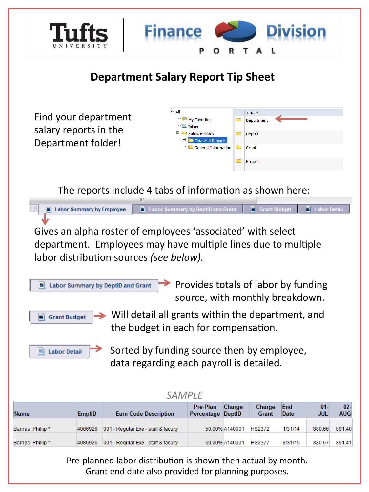

Pre-planned labor distribution is shown then actual by month. Grant end date also provided for planning purposes.